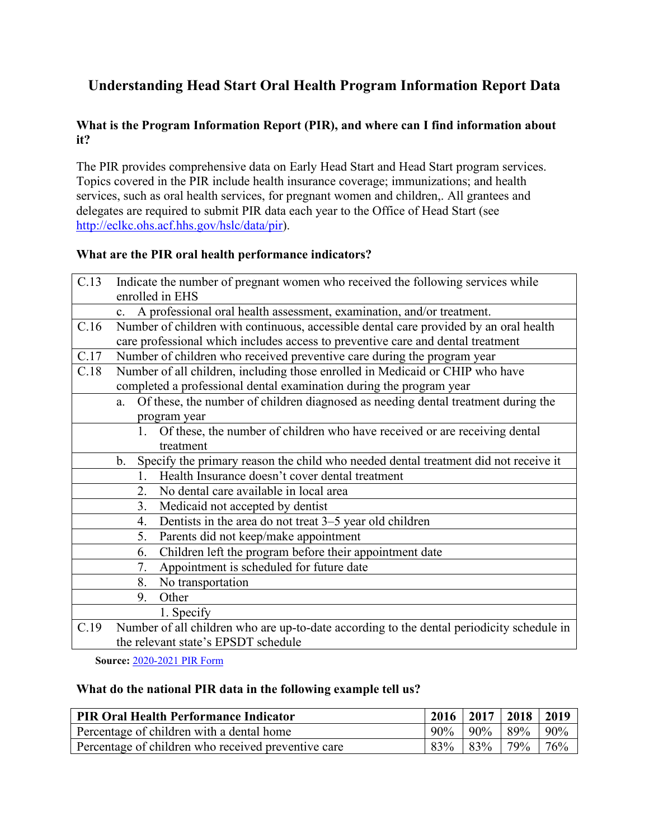# **Understanding Head Start Oral Health Program Information Report Data**

# **What is the Program Information Report (PIR), and where can I find information about it?**

The PIR provides comprehensive data on Early Head Start and Head Start program services. Topics covered in the PIR include health insurance coverage; immunizations; and health services, such as oral health services, for pregnant women and children,. All grantees and delegates are required to submit PIR data each year to the Office of Head Start (see [http://eclkc.ohs.acf.hhs.gov/hslc/data/pir\)](http://eclkc.ohs.acf.hhs.gov/hslc/data/pir).

# **What are the PIR oral health performance indicators?**

| C.13 | Indicate the number of pregnant women who received the following services while<br>enrolled in EHS |  |  |
|------|----------------------------------------------------------------------------------------------------|--|--|
|      | c. A professional oral health assessment, examination, and/or treatment.                           |  |  |
| C.16 | Number of children with continuous, accessible dental care provided by an oral health              |  |  |
|      | care professional which includes access to preventive care and dental treatment                    |  |  |
| C.17 | Number of children who received preventive care during the program year                            |  |  |
| C.18 | Number of all children, including those enrolled in Medicaid or CHIP who have                      |  |  |
|      | completed a professional dental examination during the program year                                |  |  |
|      | Of these, the number of children diagnosed as needing dental treatment during the<br>a.            |  |  |
|      | program year                                                                                       |  |  |
|      | Of these, the number of children who have received or are receiving dental<br>1.                   |  |  |
|      | treatment                                                                                          |  |  |
|      | b. Specify the primary reason the child who needed dental treatment did not receive it             |  |  |
|      | Health Insurance doesn't cover dental treatment<br>1.                                              |  |  |
|      | No dental care available in local area<br>2.                                                       |  |  |
|      | 3.<br>Medicaid not accepted by dentist                                                             |  |  |
|      | Dentists in the area do not treat 3-5 year old children<br>4.                                      |  |  |
|      | Parents did not keep/make appointment<br>5.                                                        |  |  |
|      | Children left the program before their appointment date<br>6.                                      |  |  |
|      | Appointment is scheduled for future date<br>7.                                                     |  |  |
|      | 8.<br>No transportation                                                                            |  |  |
|      | 9.<br>Other                                                                                        |  |  |
|      | 1. Specify                                                                                         |  |  |
| C.19 | Number of all children who are up-to-date according to the dental periodicity schedule in          |  |  |
|      | the relevant state's EPSDT schedule                                                                |  |  |

**Source:** [2020-2021 PIR Form](https://eclkc.ohs.acf.hhs.gov/sites/default/files/pdf/no-search/2020-2021-hs-pir-form.pdf)

#### **What do the national PIR data in the following example tell us?**

| <b>PIR Oral Health Performance Indicator</b>        | $2016$   2017   2018   2019 |     |
|-----------------------------------------------------|-----------------------------|-----|
| Percentage of children with a dental home           | $90\%$   90%   89%   90%    |     |
| Percentage of children who received preventive care | 83\% 83\% 79\%              | 76% |